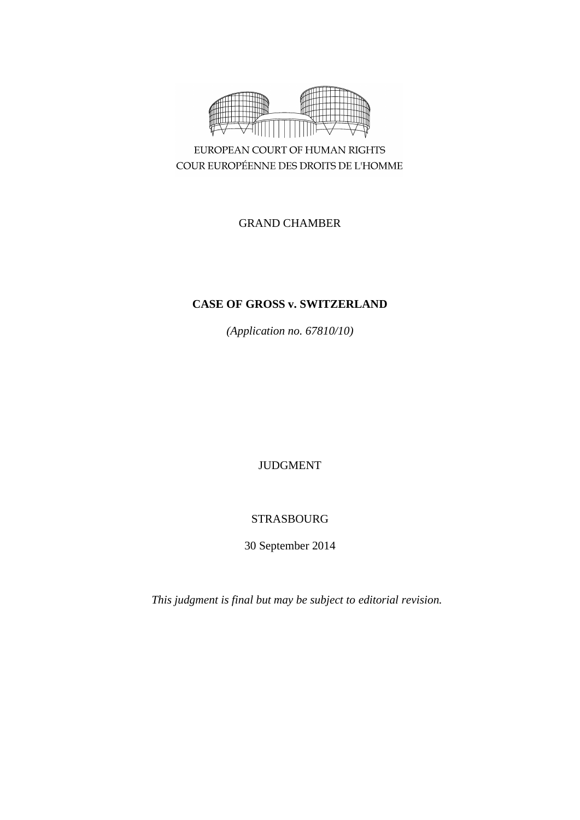

EUROPEAN COURT OF HUMAN RIGHTS COUR EUROPÉENNE DES DROITS DE L'HOMME

# GRAND CHAMBER

# **CASE OF GROSS v. SWITZERLAND**

*(Application no. 67810/10)*

# JUDGMENT

# STRASBOURG

30 September 2014

*This judgment is final but may be subject to editorial revision.*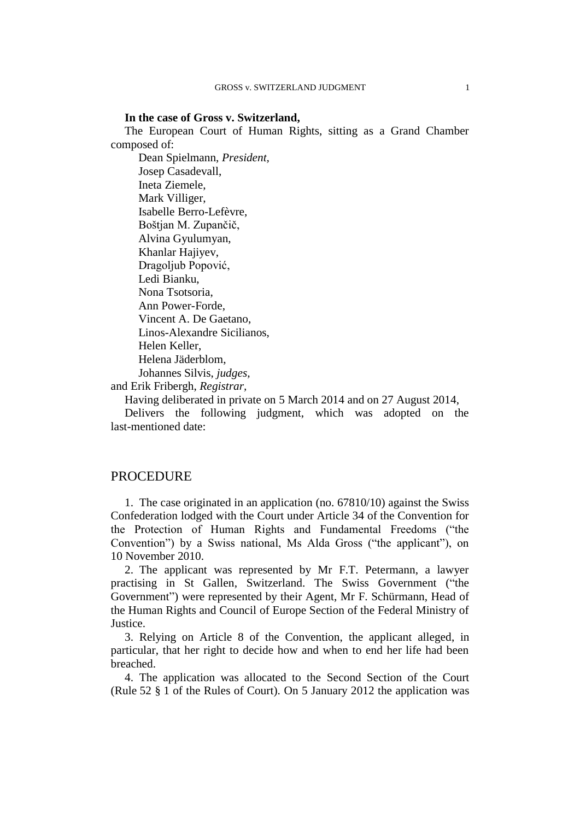### **In the case of Gross v. Switzerland,**

The European Court of Human Rights, sitting as a Grand Chamber composed of:

Dean Spielmann, *President,* Josep Casadevall, Ineta Ziemele, Mark Villiger, Isabelle Berro-Lefèvre, Boštjan M. Zupančič, Alvina Gyulumyan, Khanlar Hajiyev, Dragoljub Popović, Ledi Bianku, Nona Tsotsoria, Ann Power-Forde, Vincent A. De Gaetano, Linos-Alexandre Sicilianos, Helen Keller, Helena Jäderblom, Johannes Silvis, *judges,*

and Erik Fribergh, *Registrar,*

Having deliberated in private on 5 March 2014 and on 27 August 2014,

Delivers the following judgment, which was adopted on the last-mentioned date:

### **PROCEDURE**

1. The case originated in an application (no. 67810/10) against the Swiss Confederation lodged with the Court under Article 34 of the Convention for the Protection of Human Rights and Fundamental Freedoms ("the Convention") by a Swiss national, Ms Alda Gross ("the applicant"), on 10 November 2010.

2. The applicant was represented by Mr F.T. Petermann, a lawyer practising in St Gallen, Switzerland. The Swiss Government ("the Government") were represented by their Agent, Mr F. Schürmann, Head of the Human Rights and Council of Europe Section of the Federal Ministry of Justice.

3. Relying on Article 8 of the Convention, the applicant alleged, in particular, that her right to decide how and when to end her life had been breached.

4. The application was allocated to the Second Section of the Court (Rule 52 § 1 of the Rules of Court). On 5 January 2012 the application was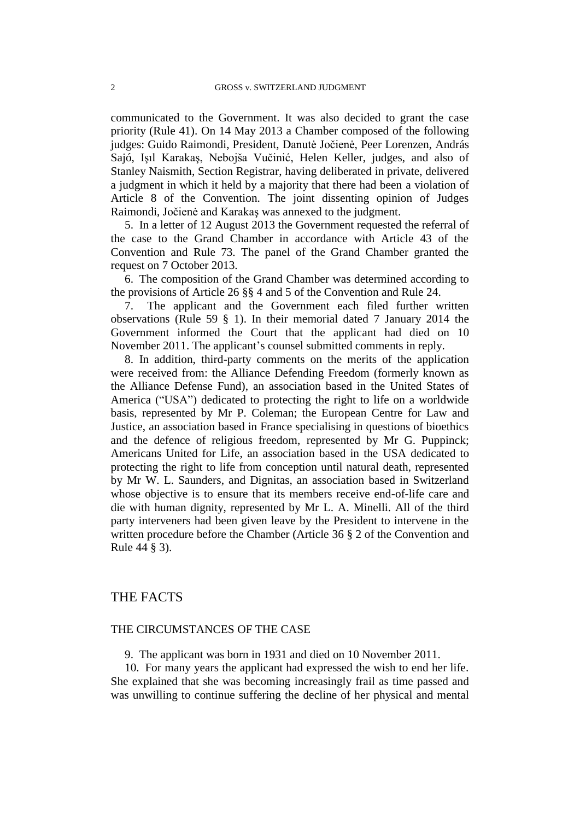communicated to the Government. It was also decided to grant the case priority (Rule 41). On 14 May 2013 a Chamber composed of the following judges: Guido Raimondi, President, Danutė Jočienė, Peer Lorenzen, András Sajó, Işıl Karakaş, Nebojša Vučinić, Helen Keller, judges, and also of Stanley Naismith, Section Registrar, having deliberated in private, delivered a judgment in which it held by a majority that there had been a violation of Article 8 of the Convention. The joint dissenting opinion of Judges Raimondi, Jočienė and Karakaş was annexed to the judgment.

5. In a letter of 12 August 2013 the Government requested the referral of the case to the Grand Chamber in accordance with Article 43 of the Convention and Rule 73. The panel of the Grand Chamber granted the request on 7 October 2013.

6. The composition of the Grand Chamber was determined according to the provisions of Article 26 §§ 4 and 5 of the Convention and Rule 24.

7. The applicant and the Government each filed further written observations (Rule 59 § 1). In their memorial dated 7 January 2014 the Government informed the Court that the applicant had died on 10 November 2011. The applicant's counsel submitted comments in reply.

8. In addition, third-party comments on the merits of the application were received from: the Alliance Defending Freedom (formerly known as the Alliance Defense Fund), an association based in the United States of America ("USA") dedicated to protecting the right to life on a worldwide basis, represented by Mr P. Coleman; the European Centre for Law and Justice, an association based in France specialising in questions of bioethics and the defence of religious freedom, represented by Mr G. Puppinck; Americans United for Life, an association based in the USA dedicated to protecting the right to life from conception until natural death, represented by Mr W. L. Saunders, and Dignitas, an association based in Switzerland whose objective is to ensure that its members receive end-of-life care and die with human dignity, represented by Mr L. A. Minelli. All of the third party interveners had been given leave by the President to intervene in the written procedure before the Chamber (Article 36 § 2 of the Convention and Rule 44 § 3).

## THE FACTS

### THE CIRCUMSTANCES OF THE CASE

9. The applicant was born in 1931 and died on 10 November 2011.

10. For many years the applicant had expressed the wish to end her life. She explained that she was becoming increasingly frail as time passed and was unwilling to continue suffering the decline of her physical and mental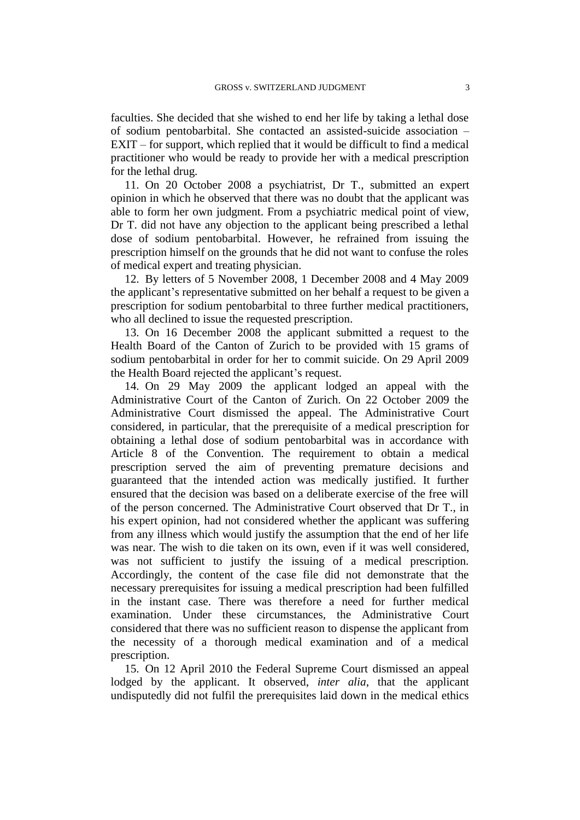faculties. She decided that she wished to end her life by taking a lethal dose of sodium pentobarbital. She contacted an assisted-suicide association – EXIT – for support, which replied that it would be difficult to find a medical practitioner who would be ready to provide her with a medical prescription for the lethal drug.

11. On 20 October 2008 a psychiatrist, Dr T., submitted an expert opinion in which he observed that there was no doubt that the applicant was able to form her own judgment. From a psychiatric medical point of view, Dr T. did not have any objection to the applicant being prescribed a lethal dose of sodium pentobarbital. However, he refrained from issuing the prescription himself on the grounds that he did not want to confuse the roles of medical expert and treating physician.

12. By letters of 5 November 2008, 1 December 2008 and 4 May 2009 the applicant's representative submitted on her behalf a request to be given a prescription for sodium pentobarbital to three further medical practitioners, who all declined to issue the requested prescription.

13. On 16 December 2008 the applicant submitted a request to the Health Board of the Canton of Zurich to be provided with 15 grams of sodium pentobarbital in order for her to commit suicide. On 29 April 2009 the Health Board rejected the applicant's request.

14. On 29 May 2009 the applicant lodged an appeal with the Administrative Court of the Canton of Zurich. On 22 October 2009 the Administrative Court dismissed the appeal. The Administrative Court considered, in particular, that the prerequisite of a medical prescription for obtaining a lethal dose of sodium pentobarbital was in accordance with Article 8 of the Convention. The requirement to obtain a medical prescription served the aim of preventing premature decisions and guaranteed that the intended action was medically justified. It further ensured that the decision was based on a deliberate exercise of the free will of the person concerned. The Administrative Court observed that Dr T., in his expert opinion, had not considered whether the applicant was suffering from any illness which would justify the assumption that the end of her life was near. The wish to die taken on its own, even if it was well considered, was not sufficient to justify the issuing of a medical prescription. Accordingly, the content of the case file did not demonstrate that the necessary prerequisites for issuing a medical prescription had been fulfilled in the instant case. There was therefore a need for further medical examination. Under these circumstances, the Administrative Court considered that there was no sufficient reason to dispense the applicant from the necessity of a thorough medical examination and of a medical prescription.

15. On 12 April 2010 the Federal Supreme Court dismissed an appeal lodged by the applicant. It observed, *inter alia*, that the applicant undisputedly did not fulfil the prerequisites laid down in the medical ethics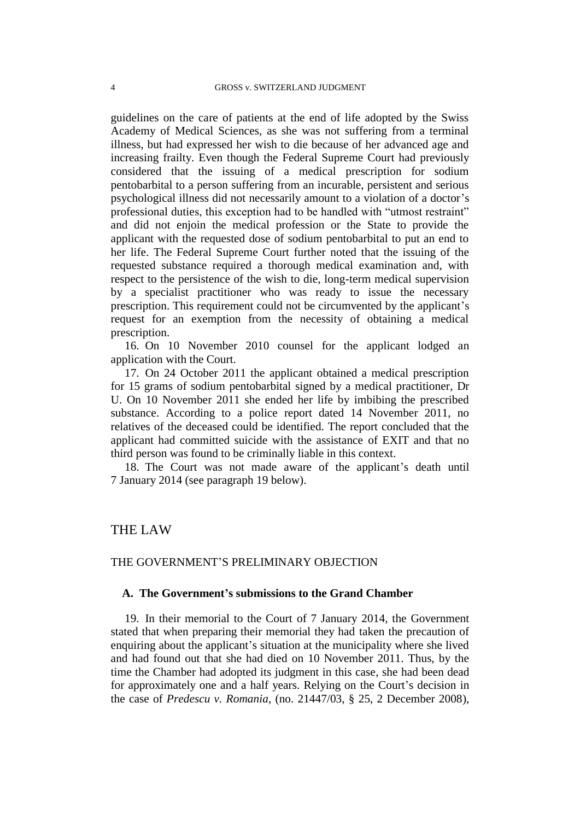guidelines on the care of patients at the end of life adopted by the Swiss Academy of Medical Sciences, as she was not suffering from a terminal illness, but had expressed her wish to die because of her advanced age and increasing frailty. Even though the Federal Supreme Court had previously considered that the issuing of a medical prescription for sodium pentobarbital to a person suffering from an incurable, persistent and serious psychological illness did not necessarily amount to a violation of a doctor's professional duties, this exception had to be handled with "utmost restraint" and did not enjoin the medical profession or the State to provide the applicant with the requested dose of sodium pentobarbital to put an end to her life. The Federal Supreme Court further noted that the issuing of the requested substance required a thorough medical examination and, with respect to the persistence of the wish to die, long-term medical supervision by a specialist practitioner who was ready to issue the necessary prescription. This requirement could not be circumvented by the applicant's request for an exemption from the necessity of obtaining a medical prescription.

16. On 10 November 2010 counsel for the applicant lodged an application with the Court.

17. On 24 October 2011 the applicant obtained a medical prescription for 15 grams of sodium pentobarbital signed by a medical practitioner, Dr U. On 10 November 2011 she ended her life by imbibing the prescribed substance. According to a police report dated 14 November 2011, no relatives of the deceased could be identified. The report concluded that the applicant had committed suicide with the assistance of EXIT and that no third person was found to be criminally liable in this context.

18. The Court was not made aware of the applicant's death until 7 January 2014 (see paragraph 19 below).

## THE LAW

### THE GOVERNMENT'S PRELIMINARY OBJECTION

### **A. The Government's submissions to the Grand Chamber**

19. In their memorial to the Court of 7 January 2014, the Government stated that when preparing their memorial they had taken the precaution of enquiring about the applicant's situation at the municipality where she lived and had found out that she had died on 10 November 2011. Thus, by the time the Chamber had adopted its judgment in this case, she had been dead for approximately one and a half years. Relying on the Court's decision in the case of *Predescu v. Romania*, (no. 21447/03, § 25, 2 December 2008),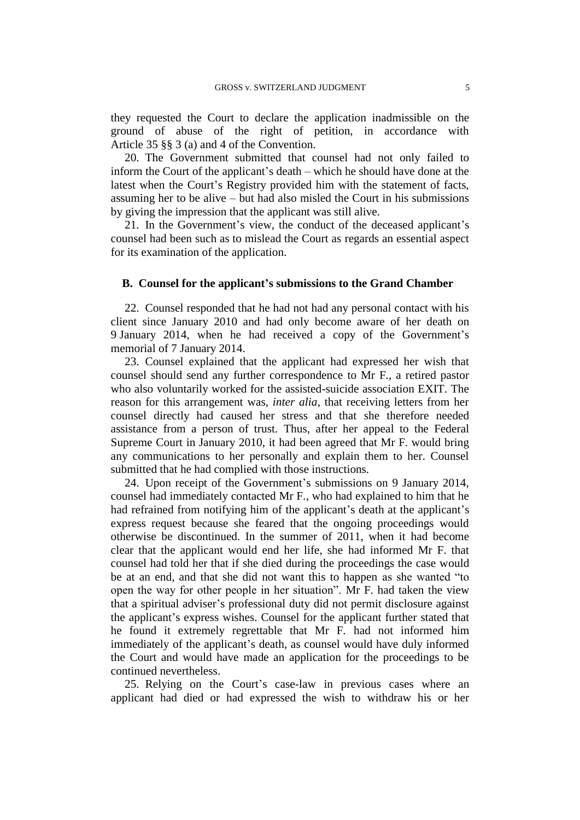they requested the Court to declare the application inadmissible on the ground of abuse of the right of petition, in accordance with Article 35 §§ 3 (a) and 4 of the Convention.

20. The Government submitted that counsel had not only failed to inform the Court of the applicant's death – which he should have done at the latest when the Court's Registry provided him with the statement of facts, assuming her to be alive – but had also misled the Court in his submissions by giving the impression that the applicant was still alive.

21. In the Government's view, the conduct of the deceased applicant's counsel had been such as to mislead the Court as regards an essential aspect for its examination of the application.

### **B. Counsel for the applicant's submissions to the Grand Chamber**

22. Counsel responded that he had not had any personal contact with his client since January 2010 and had only become aware of her death on 9 January 2014, when he had received a copy of the Government's memorial of 7 January 2014.

23. Counsel explained that the applicant had expressed her wish that counsel should send any further correspondence to Mr F., a retired pastor who also voluntarily worked for the assisted-suicide association EXIT. The reason for this arrangement was, *inter alia*, that receiving letters from her counsel directly had caused her stress and that she therefore needed assistance from a person of trust. Thus, after her appeal to the Federal Supreme Court in January 2010, it had been agreed that Mr F. would bring any communications to her personally and explain them to her. Counsel submitted that he had complied with those instructions.

24. Upon receipt of the Government's submissions on 9 January 2014, counsel had immediately contacted Mr F., who had explained to him that he had refrained from notifying him of the applicant's death at the applicant's express request because she feared that the ongoing proceedings would otherwise be discontinued. In the summer of 2011, when it had become clear that the applicant would end her life, she had informed Mr F. that counsel had told her that if she died during the proceedings the case would be at an end, and that she did not want this to happen as she wanted "to open the way for other people in her situation". Mr F. had taken the view that a spiritual adviser's professional duty did not permit disclosure against the applicant's express wishes. Counsel for the applicant further stated that he found it extremely regrettable that Mr F. had not informed him immediately of the applicant's death, as counsel would have duly informed the Court and would have made an application for the proceedings to be continued nevertheless.

25. Relying on the Court's case-law in previous cases where an applicant had died or had expressed the wish to withdraw his or her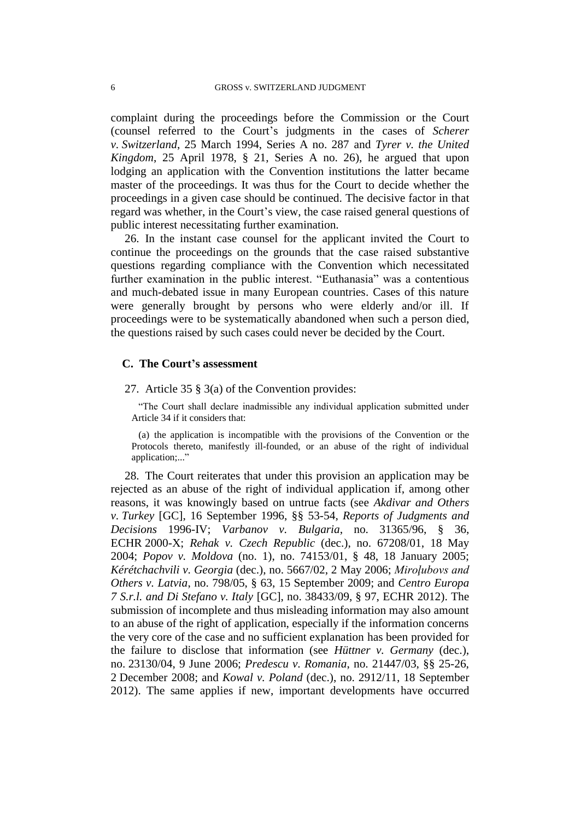complaint during the proceedings before the Commission or the Court (counsel referred to the Court's judgments in the cases of *Scherer v. Switzerland*, 25 March 1994, Series A no. 287 and *Tyrer v. the United Kingdom*, 25 April 1978, § 21, Series A no. 26), he argued that upon lodging an application with the Convention institutions the latter became master of the proceedings. It was thus for the Court to decide whether the proceedings in a given case should be continued. The decisive factor in that regard was whether, in the Court's view, the case raised general questions of public interest necessitating further examination.

26. In the instant case counsel for the applicant invited the Court to continue the proceedings on the grounds that the case raised substantive questions regarding compliance with the Convention which necessitated further examination in the public interest. "Euthanasia" was a contentious and much-debated issue in many European countries. Cases of this nature were generally brought by persons who were elderly and/or ill. If proceedings were to be systematically abandoned when such a person died, the questions raised by such cases could never be decided by the Court.

#### **C. The Court's assessment**

### 27. Article 35 § 3(a) of the Convention provides:

"The Court shall declare inadmissible any individual application submitted under Article 34 if it considers that:

(a) the application is incompatible with the provisions of the Convention or the Protocols thereto, manifestly ill-founded, or an abuse of the right of individual application;..."

28. The Court reiterates that under this provision an application may be rejected as an abuse of the right of individual application if, among other reasons, it was knowingly based on untrue facts (see *Akdivar and Others v. Turkey* [GC], 16 September 1996, §§ 53-54, *Reports of Judgments and Decisions* 1996-IV; *Varbanov v. Bulgaria*, no. 31365/96, § 36, ECHR 2000-X; *Rehak v. Czech Republic* (dec.), no. 67208/01, 18 May 2004; *Popov v. Moldova* (no. 1), no. 74153/01, § 48, 18 January 2005; *Kérétchachvili v. Georgia* (dec.), no. 5667/02, 2 May 2006; *Miroļubovs and Others v. Latvia*, no. 798/05, § 63, 15 September 2009; and *Centro Europa 7 S.r.l. and Di Stefano v. Italy* [GC], no. 38433/09, § 97, ECHR 2012). The submission of incomplete and thus misleading information may also amount to an abuse of the right of application, especially if the information concerns the very core of the case and no sufficient explanation has been provided for the failure to disclose that information (see *Hüttner v. Germany* (dec.), no. 23130/04, 9 June 2006; *Predescu v. Romania*, no. 21447/03, §§ 25-26, 2 December 2008; and *Kowal v. Poland* (dec.), no. 2912/11, 18 September 2012). The same applies if new, important developments have occurred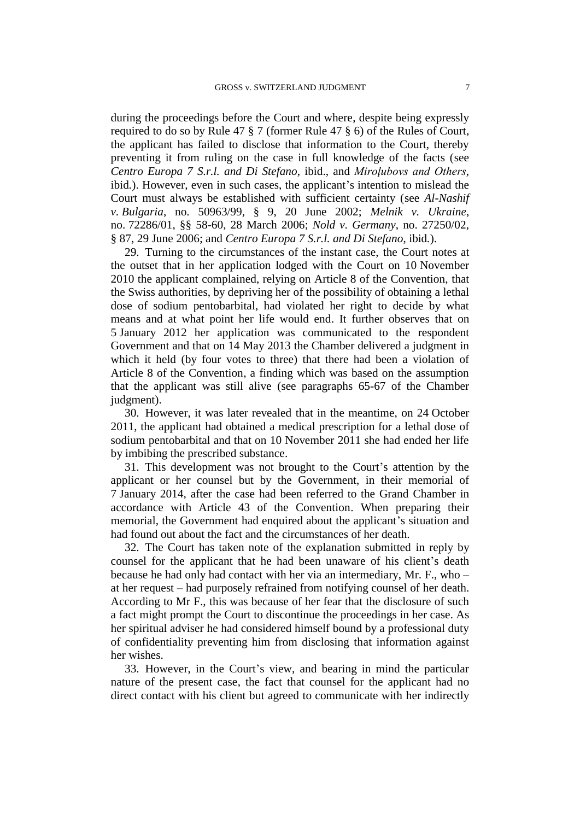during the proceedings before the Court and where, despite being expressly required to do so by Rule 47 § 7 (former Rule 47 § 6) of the Rules of Court, the applicant has failed to disclose that information to the Court, thereby preventing it from ruling on the case in full knowledge of the facts (see *Centro Europa 7 S.r.l. and Di Stefano*, ibid., and *Miroļubovs and Others,*  ibid*.*). However, even in such cases, the applicant's intention to mislead the Court must always be established with sufficient certainty (see *Al-Nashif v. Bulgaria*, no. 50963/99, § 9, 20 June 2002; *Melnik v. Ukraine*, no. 72286/01, §§ 58-60, 28 March 2006; *Nold v. Germany*, no. 27250/02, § 87, 29 June 2006; and *Centro Europa 7 S.r.l. and Di Stefano*, ibid*.*).

29. Turning to the circumstances of the instant case, the Court notes at the outset that in her application lodged with the Court on 10 November 2010 the applicant complained, relying on Article 8 of the Convention, that the Swiss authorities, by depriving her of the possibility of obtaining a lethal dose of sodium pentobarbital, had violated her right to decide by what means and at what point her life would end. It further observes that on 5 January 2012 her application was communicated to the respondent Government and that on 14 May 2013 the Chamber delivered a judgment in which it held (by four votes to three) that there had been a violation of Article 8 of the Convention, a finding which was based on the assumption that the applicant was still alive (see paragraphs 65-67 of the Chamber judgment).

30. However, it was later revealed that in the meantime, on 24 October 2011, the applicant had obtained a medical prescription for a lethal dose of sodium pentobarbital and that on 10 November 2011 she had ended her life by imbibing the prescribed substance.

31. This development was not brought to the Court's attention by the applicant or her counsel but by the Government, in their memorial of 7 January 2014, after the case had been referred to the Grand Chamber in accordance with Article 43 of the Convention. When preparing their memorial, the Government had enquired about the applicant's situation and had found out about the fact and the circumstances of her death.

32. The Court has taken note of the explanation submitted in reply by counsel for the applicant that he had been unaware of his client's death because he had only had contact with her via an intermediary, Mr. F., who – at her request – had purposely refrained from notifying counsel of her death. According to Mr F., this was because of her fear that the disclosure of such a fact might prompt the Court to discontinue the proceedings in her case. As her spiritual adviser he had considered himself bound by a professional duty of confidentiality preventing him from disclosing that information against her wishes.

33. However, in the Court's view, and bearing in mind the particular nature of the present case, the fact that counsel for the applicant had no direct contact with his client but agreed to communicate with her indirectly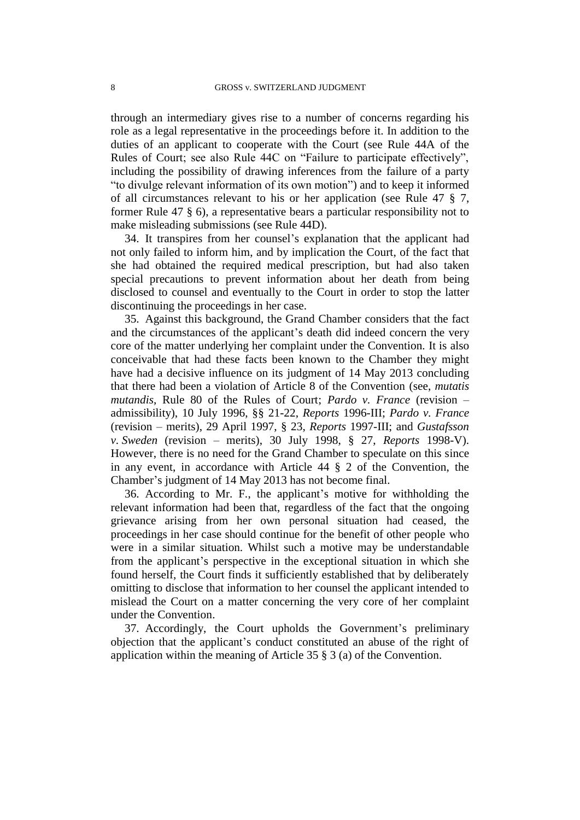through an intermediary gives rise to a number of concerns regarding his role as a legal representative in the proceedings before it. In addition to the duties of an applicant to cooperate with the Court (see Rule 44A of the Rules of Court; see also Rule 44C on "Failure to participate effectively", including the possibility of drawing inferences from the failure of a party "to divulge relevant information of its own motion") and to keep it informed of all circumstances relevant to his or her application (see Rule 47 § 7, former Rule 47 § 6), a representative bears a particular responsibility not to make misleading submissions (see Rule 44D).

34. It transpires from her counsel's explanation that the applicant had not only failed to inform him, and by implication the Court, of the fact that she had obtained the required medical prescription, but had also taken special precautions to prevent information about her death from being disclosed to counsel and eventually to the Court in order to stop the latter discontinuing the proceedings in her case.

35. Against this background, the Grand Chamber considers that the fact and the circumstances of the applicant's death did indeed concern the very core of the matter underlying her complaint under the Convention. It is also conceivable that had these facts been known to the Chamber they might have had a decisive influence on its judgment of 14 May 2013 concluding that there had been a violation of Article 8 of the Convention (see, *mutatis mutandis*, Rule 80 of the Rules of Court; *Pardo v. France* (revision – admissibility), 10 July 1996, §§ 21-22, *Reports* 1996-III; *Pardo v. France* (revision – merits), 29 April 1997, § 23, *Reports* 1997-III; and *Gustafsson v. Sweden* (revision – merits), 30 July 1998, § 27, *Reports* 1998-V). However, there is no need for the Grand Chamber to speculate on this since in any event, in accordance with Article 44 § 2 of the Convention, the Chamber's judgment of 14 May 2013 has not become final.

36. According to Mr. F., the applicant's motive for withholding the relevant information had been that, regardless of the fact that the ongoing grievance arising from her own personal situation had ceased, the proceedings in her case should continue for the benefit of other people who were in a similar situation. Whilst such a motive may be understandable from the applicant's perspective in the exceptional situation in which she found herself, the Court finds it sufficiently established that by deliberately omitting to disclose that information to her counsel the applicant intended to mislead the Court on a matter concerning the very core of her complaint under the Convention.

37. Accordingly, the Court upholds the Government's preliminary objection that the applicant's conduct constituted an abuse of the right of application within the meaning of Article 35 § 3 (a) of the Convention.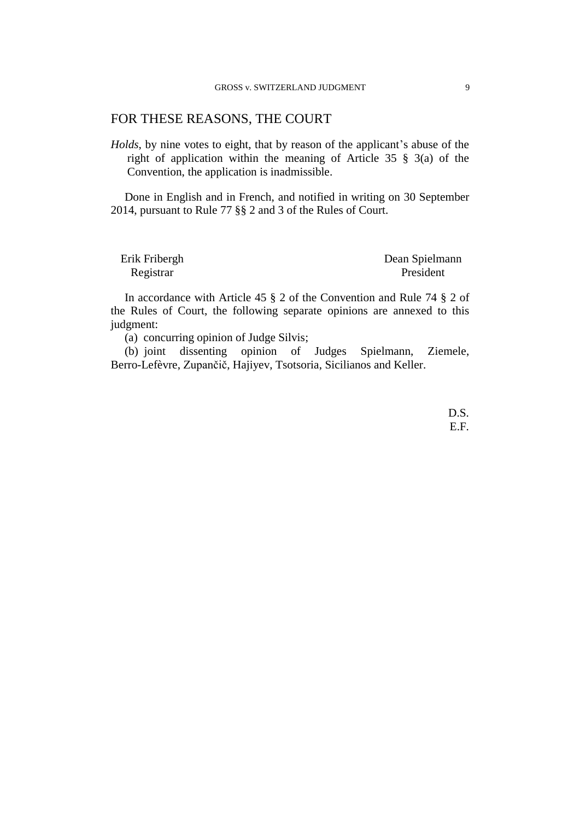## FOR THESE REASONS, THE COURT

*Holds*, by nine votes to eight, that by reason of the applicant's abuse of the right of application within the meaning of Article 35 § 3(a) of the Convention, the application is inadmissible.

Done in English and in French, and notified in writing on 30 September 2014, pursuant to Rule 77 §§ 2 and 3 of the Rules of Court.

| Erik Fribergh | Dean Spielmann |
|---------------|----------------|
| Registrar     | President      |

In accordance with Article 45 § 2 of the Convention and Rule 74 § 2 of the Rules of Court, the following separate opinions are annexed to this judgment:

(a) concurring opinion of Judge Silvis;

(b) joint dissenting opinion of Judges Spielmann, Ziemele, Berro-Lefèvre, Zupančič, Hajiyev, Tsotsoria, Sicilianos and Keller.

> D.S. E.F.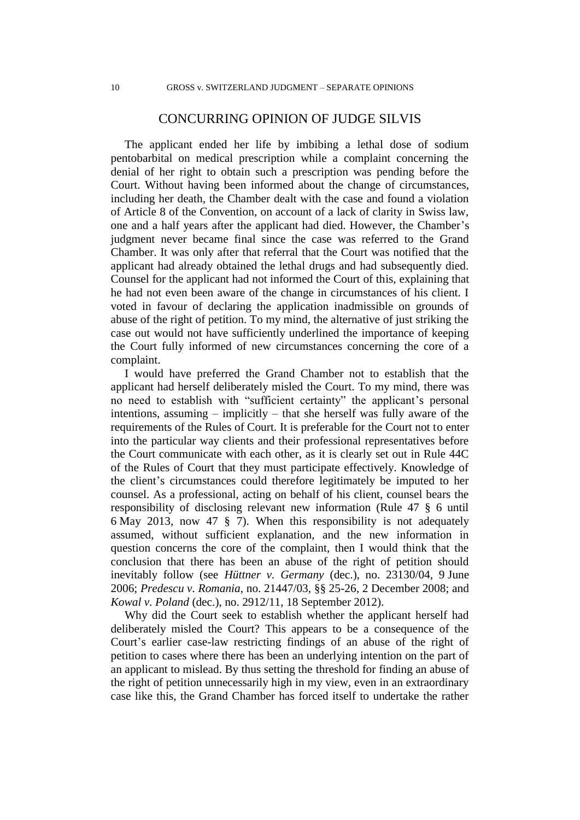## CONCURRING OPINION OF JUDGE SILVIS

The applicant ended her life by imbibing a lethal dose of sodium pentobarbital on medical prescription while a complaint concerning the denial of her right to obtain such a prescription was pending before the Court. Without having been informed about the change of circumstances, including her death, the Chamber dealt with the case and found a violation of Article 8 of the Convention, on account of a lack of clarity in Swiss law, one and a half years after the applicant had died. However, the Chamber's judgment never became final since the case was referred to the Grand Chamber. It was only after that referral that the Court was notified that the applicant had already obtained the lethal drugs and had subsequently died. Counsel for the applicant had not informed the Court of this, explaining that he had not even been aware of the change in circumstances of his client. I voted in favour of declaring the application inadmissible on grounds of abuse of the right of petition. To my mind, the alternative of just striking the case out would not have sufficiently underlined the importance of keeping the Court fully informed of new circumstances concerning the core of a complaint.

I would have preferred the Grand Chamber not to establish that the applicant had herself deliberately misled the Court. To my mind, there was no need to establish with "sufficient certainty" the applicant's personal intentions, assuming – implicitly – that she herself was fully aware of the requirements of the Rules of Court. It is preferable for the Court not to enter into the particular way clients and their professional representatives before the Court communicate with each other, as it is clearly set out in Rule 44C of the Rules of Court that they must participate effectively. Knowledge of the client's circumstances could therefore legitimately be imputed to her counsel. As a professional, acting on behalf of his client, counsel bears the responsibility of disclosing relevant new information (Rule 47 § 6 until 6 May 2013, now 47 § 7). When this responsibility is not adequately assumed, without sufficient explanation, and the new information in question concerns the core of the complaint, then I would think that the conclusion that there has been an abuse of the right of petition should inevitably follow (see *Hüttner v. Germany* (dec.), no. 23130/04, 9 June 2006; *Predescu v. Romania*, no. 21447/03, §§ 25-26, 2 December 2008; and *Kowal v. Poland* (dec.), no. 2912/11, 18 September 2012).

Why did the Court seek to establish whether the applicant herself had deliberately misled the Court? This appears to be a consequence of the Court's earlier case-law restricting findings of an abuse of the right of petition to cases where there has been an underlying intention on the part of an applicant to mislead. By thus setting the threshold for finding an abuse of the right of petition unnecessarily high in my view, even in an extraordinary case like this, the Grand Chamber has forced itself to undertake the rather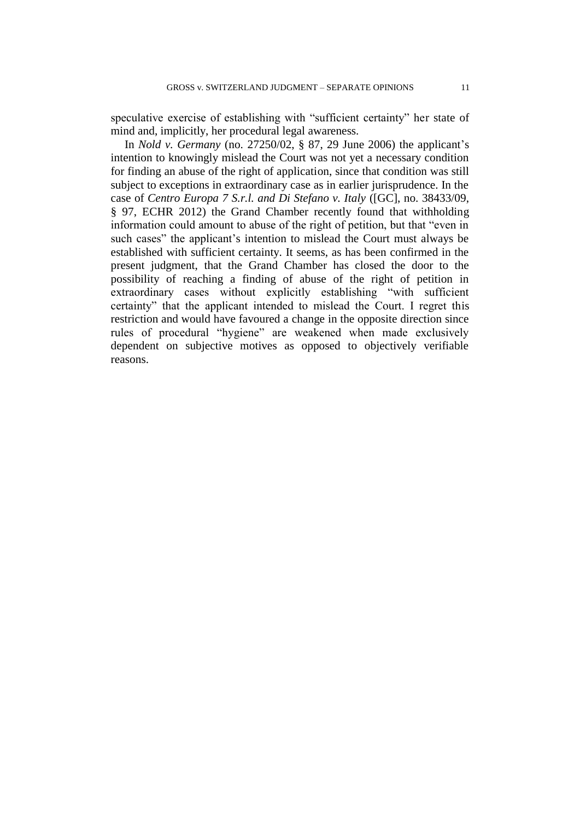speculative exercise of establishing with "sufficient certainty" her state of mind and, implicitly, her procedural legal awareness.

In *Nold v. Germany* (no. 27250/02, § 87, 29 June 2006) the applicant's intention to knowingly mislead the Court was not yet a necessary condition for finding an abuse of the right of application, since that condition was still subject to exceptions in extraordinary case as in earlier jurisprudence. In the case of *Centro Europa 7 S.r.l. and Di Stefano v. Italy* ([GC], no. 38433/09, § 97, ECHR 2012) the Grand Chamber recently found that withholding information could amount to abuse of the right of petition, but that "even in such cases" the applicant's intention to mislead the Court must always be established with sufficient certainty. It seems, as has been confirmed in the present judgment, that the Grand Chamber has closed the door to the possibility of reaching a finding of abuse of the right of petition in extraordinary cases without explicitly establishing "with sufficient certainty" that the applicant intended to mislead the Court. I regret this restriction and would have favoured a change in the opposite direction since rules of procedural "hygiene" are weakened when made exclusively dependent on subjective motives as opposed to objectively verifiable reasons.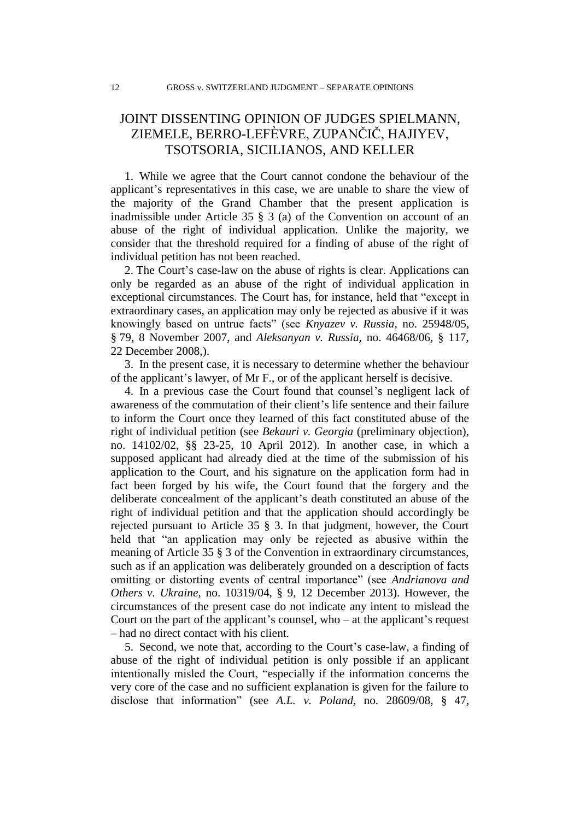# JOINT DISSENTING OPINION OF JUDGES SPIELMANN, ZIEMELE, BERRO-LEFÈVRE, ZUPANČIČ, HAJIYEV, TSOTSORIA, SICILIANOS, AND KELLER

1. While we agree that the Court cannot condone the behaviour of the applicant's representatives in this case, we are unable to share the view of the majority of the Grand Chamber that the present application is inadmissible under Article 35 § 3 (a) of the Convention on account of an abuse of the right of individual application. Unlike the majority, we consider that the threshold required for a finding of abuse of the right of individual petition has not been reached.

2. The Court's case-law on the abuse of rights is clear. Applications can only be regarded as an abuse of the right of individual application in exceptional circumstances. The Court has, for instance, held that "except in extraordinary cases, an application may only be rejected as abusive if it was knowingly based on untrue facts" (see *Knyazev v. Russia,* no. 25948/05, § 79, 8 November 2007, and *Aleksanyan v. Russia,* no. 46468/06, § 117, 22 December 2008,).

3. In the present case, it is necessary to determine whether the behaviour of the applicant's lawyer, of Mr F., or of the applicant herself is decisive.

4. In a previous case the Court found that counsel's negligent lack of awareness of the commutation of their client's life sentence and their failure to inform the Court once they learned of this fact constituted abuse of the right of individual petition (see *Bekauri v. Georgia* (preliminary objection), no. 14102/02, §§ 23-25, 10 April 2012). In another case, in which a supposed applicant had already died at the time of the submission of his application to the Court, and his signature on the application form had in fact been forged by his wife, the Court found that the forgery and the deliberate concealment of the applicant's death constituted an abuse of the right of individual petition and that the application should accordingly be rejected pursuant to Article 35 § 3. In that judgment, however, the Court held that "an application may only be rejected as abusive within the meaning of Article 35 § 3 of the Convention in extraordinary circumstances, such as if an application was deliberately grounded on a description of facts omitting or distorting events of central importance" (see *Andrianova and Others v. Ukraine,* no. 10319/04, § 9, 12 December 2013). However, the circumstances of the present case do not indicate any intent to mislead the Court on the part of the applicant's counsel, who  $-$  at the applicant's request – had no direct contact with his client.

5. Second, we note that, according to the Court's case-law, a finding of abuse of the right of individual petition is only possible if an applicant intentionally misled the Court, "especially if the information concerns the very core of the case and no sufficient explanation is given for the failure to disclose that information" (see *A.L. v. Poland*, no. 28609/08, § 47,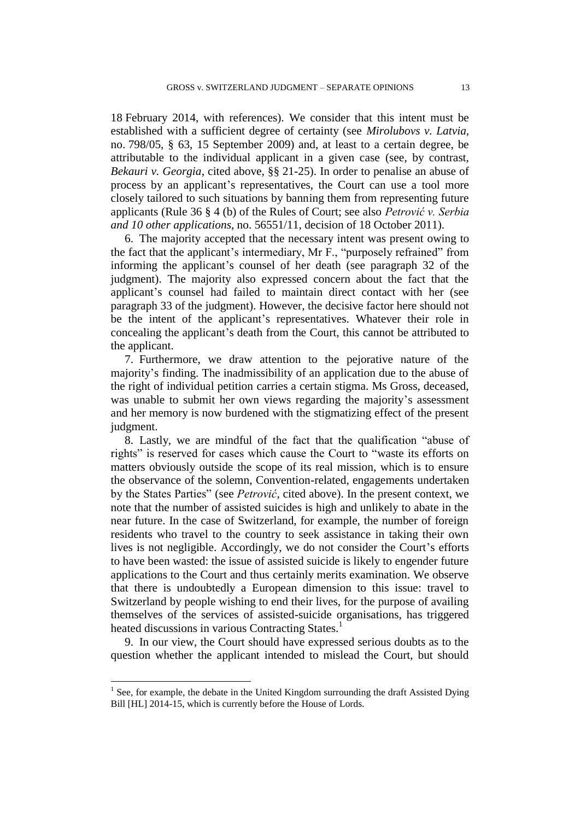18 February 2014, with references). We consider that this intent must be established with a sufficient degree of certainty (see *Mirolubovs v. Latvia,*  no. 798/05, § 63, 15 September 2009) and, at least to a certain degree, be attributable to the individual applicant in a given case (see, by contrast, *Bekauri v. Georgia*, cited above, §§ 21-25). In order to penalise an abuse of process by an applicant's representatives, the Court can use a tool more closely tailored to such situations by banning them from representing future applicants (Rule 36 § 4 (b) of the Rules of Court; see also *Petrović v. Serbia and 10 other applications*, no. 56551/11, decision of 18 October 2011).

6. The majority accepted that the necessary intent was present owing to the fact that the applicant's intermediary, Mr F., "purposely refrained" from informing the applicant's counsel of her death (see paragraph 32 of the judgment). The majority also expressed concern about the fact that the applicant's counsel had failed to maintain direct contact with her (see paragraph 33 of the judgment). However, the decisive factor here should not be the intent of the applicant's representatives. Whatever their role in concealing the applicant's death from the Court, this cannot be attributed to the applicant.

7. Furthermore, we draw attention to the pejorative nature of the majority's finding. The inadmissibility of an application due to the abuse of the right of individual petition carries a certain stigma. Ms Gross, deceased, was unable to submit her own views regarding the majority's assessment and her memory is now burdened with the stigmatizing effect of the present judgment.

8. Lastly, we are mindful of the fact that the qualification "abuse of rights" is reserved for cases which cause the Court to "waste its efforts on matters obviously outside the scope of its real mission, which is to ensure the observance of the solemn, Convention-related, engagements undertaken by the States Parties" (see *Petrović*, cited above). In the present context, we note that the number of assisted suicides is high and unlikely to abate in the near future. In the case of Switzerland, for example, the number of foreign residents who travel to the country to seek assistance in taking their own lives is not negligible. Accordingly, we do not consider the Court's efforts to have been wasted: the issue of assisted suicide is likely to engender future applications to the Court and thus certainly merits examination. We observe that there is undoubtedly a European dimension to this issue: travel to Switzerland by people wishing to end their lives, for the purpose of availing themselves of the services of assisted-suicide organisations, has triggered heated discussions in various Contracting States.<sup>1</sup>

9. In our view, the Court should have expressed serious doubts as to the question whether the applicant intended to mislead the Court, but should

 $\overline{a}$ 

<sup>1</sup> See, for example, the debate in the United Kingdom surrounding the draft Assisted Dying Bill [HL] 2014-15, which is currently before the House of Lords.